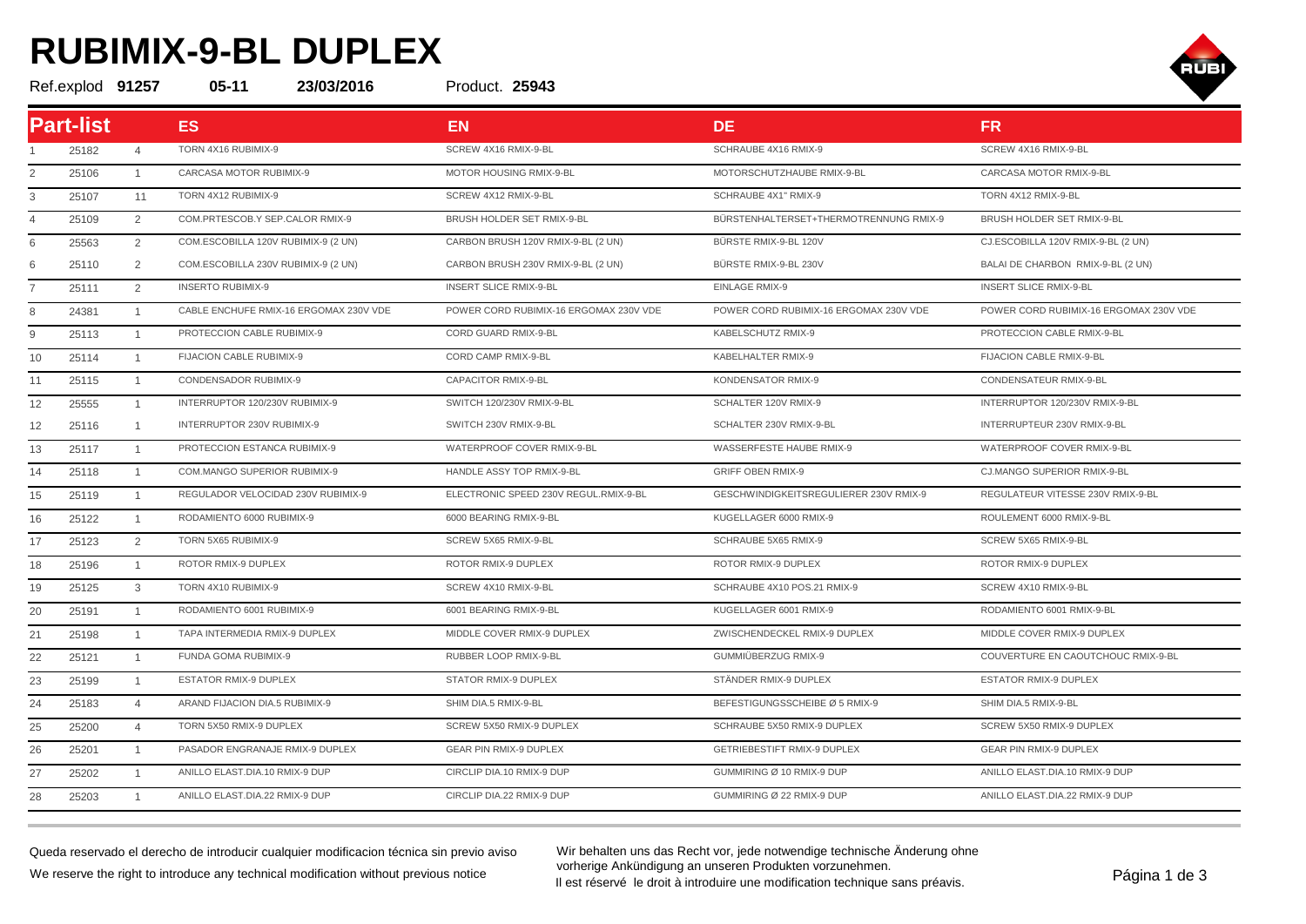## **RUBIMIX-9-BL DUPLEX**



Ref.explod **91257 05-11 23/03/2016 25943**

Product. 25943

| <b>Part-list</b> |       |                | <b>ES</b>                              | <b>EN</b>                              | <b>DE</b>                              | <b>FR</b>                              |
|------------------|-------|----------------|----------------------------------------|----------------------------------------|----------------------------------------|----------------------------------------|
|                  | 25182 | $\overline{4}$ | TORN 4X16 RUBIMIX-9                    | SCREW 4X16 RMIX-9-BL                   | SCHRAUBE 4X16 RMIX-9                   | SCREW 4X16 RMIX-9-BL                   |
| 2                | 25106 | $\mathbf{1}$   | CARCASA MOTOR RUBIMIX-9                | MOTOR HOUSING RMIX-9-BL                | MOTORSCHUTZHAUBE RMIX-9-BL             | CARCASA MOTOR RMIX-9-BL                |
| 3                | 25107 | 11             | TORN 4X12 RUBIMIX-9                    | SCREW 4X12 RMIX-9-BL                   | SCHRAUBE 4X1" RMIX-9                   | TORN 4X12 RMIX-9-BL                    |
| 4                | 25109 | $\overline{2}$ | COM.PRTESCOB.Y SEP.CALOR RMIX-9        | BRUSH HOLDER SET RMIX-9-BL             | BÜRSTENHALTERSET+THERMOTRENNUNG RMIX-9 | BRUSH HOLDER SET RMIX-9-BL             |
|                  | 25563 | $\overline{2}$ | COM.ESCOBILLA 120V RUBIMIX-9 (2 UN)    | CARBON BRUSH 120V RMIX-9-BL (2 UN)     | BÜRSTE RMIX-9-BL 120V                  | CJ.ESCOBILLA 120V RMIX-9-BL (2 UN)     |
|                  | 25110 | 2              | COM.ESCOBILLA 230V RUBIMIX-9 (2 UN)    | CARBON BRUSH 230V RMIX-9-BL (2 UN)     | BÜRSTE RMIX-9-BL 230V                  | BALAI DE CHARBON RMIX-9-BL (2 UN)      |
|                  | 25111 | 2              | <b>INSERTO RUBIMIX-9</b>               | <b>INSERT SLICE RMIX-9-BL</b>          | <b>EINLAGE RMIX-9</b>                  | <b>INSERT SLICE RMIX-9-BL</b>          |
| 8                | 24381 | $\overline{1}$ | CABLE ENCHUFE RMIX-16 ERGOMAX 230V VDE | POWER CORD RUBIMIX-16 ERGOMAX 230V VDE | POWER CORD RUBIMIX-16 ERGOMAX 230V VDE | POWER CORD RUBIMIX-16 ERGOMAX 230V VDE |
| 9                | 25113 | $\overline{1}$ | PROTECCION CABLE RUBIMIX-9             | CORD GUARD RMIX-9-BL                   | KABELSCHUTZ RMIX-9                     | PROTECCION CABLE RMIX-9-BL             |
| 10               | 25114 | $\mathbf{1}$   | FIJACION CABLE RUBIMIX-9               | CORD CAMP RMIX-9-BL                    | KABELHALTER RMIX-9                     | FIJACION CABLE RMIX-9-BL               |
| 11               | 25115 | $\overline{1}$ | CONDENSADOR RUBIMIX-9                  | <b>CAPACITOR RMIX-9-BL</b>             | KONDENSATOR RMIX-9                     | CONDENSATEUR RMIX-9-BL                 |
| 12               | 25555 | $\overline{1}$ | INTERRUPTOR 120/230V RUBIMIX-9         | SWITCH 120/230V RMIX-9-BL              | SCHALTER 120V RMIX-9                   | INTERRUPTOR 120/230V RMIX-9-BL         |
| 12               | 25116 | $\mathbf{1}$   | INTERRUPTOR 230V RUBIMIX-9             | SWITCH 230V RMIX-9-BL                  | SCHALTER 230V RMIX-9-BL                | INTERRUPTEUR 230V RMIX-9-BL            |
| 13               | 25117 | $\overline{1}$ | PROTECCION ESTANCA RUBIMIX-9           | WATERPROOF COVER RMIX-9-BL             | WASSERFESTE HAUBE RMIX-9               | WATERPROOF COVER RMIX-9-BL             |
| 14               | 25118 | $\overline{1}$ | COM.MANGO SUPERIOR RUBIMIX-9           | HANDLE ASSY TOP RMIX-9-BL              | <b>GRIFF OBEN RMIX-9</b>               | CJ.MANGO SUPERIOR RMIX-9-BL            |
| 15               | 25119 | $\overline{1}$ | REGULADOR VELOCIDAD 230V RUBIMIX-9     | ELECTRONIC SPEED 230V REGUL.RMIX-9-BL  | GESCHWINDIGKEITSREGULIERER 230V RMIX-9 | REGULATEUR VITESSE 230V RMIX-9-BL      |
| 16               | 25122 | $\overline{1}$ | RODAMIENTO 6000 RUBIMIX-9              | 6000 BEARING RMIX-9-BL                 | KUGELLAGER 6000 RMIX-9                 | ROULEMENT 6000 RMIX-9-BL               |
| 17               | 25123 | 2              | TORN 5X65 RUBIMIX-9                    | SCREW 5X65 RMIX-9-BL                   | SCHRAUBE 5X65 RMIX-9                   | SCREW 5X65 RMIX-9-BL                   |
| 18               | 25196 | $\overline{1}$ | ROTOR RMIX-9 DUPLEX                    | ROTOR RMIX-9 DUPLEX                    | ROTOR RMIX-9 DUPLEX                    | ROTOR RMIX-9 DUPLEX                    |
| 19               | 25125 | 3              | TORN 4X10 RUBIMIX-9                    | SCREW 4X10 RMIX-9-BL                   | SCHRAUBE 4X10 POS.21 RMIX-9            | SCREW 4X10 RMIX-9-BL                   |
| 20               | 25191 | $\overline{1}$ | RODAMIENTO 6001 RUBIMIX-9              | 6001 BEARING RMIX-9-BL                 | KUGELLAGER 6001 RMIX-9                 | RODAMIENTO 6001 RMIX-9-BL              |
| 21               | 25198 | $\overline{1}$ | TAPA INTERMEDIA RMIX-9 DUPLEX          | MIDDLE COVER RMIX-9 DUPLEX             | ZWISCHENDECKEL RMIX-9 DUPLEX           | MIDDLE COVER RMIX-9 DUPLEX             |
| 22               | 25121 | $\overline{1}$ | FUNDA GOMA RUBIMIX-9                   | RUBBER LOOP RMIX-9-BL                  | GUMMIÜBERZUG RMIX-9                    | COUVERTURE EN CAOUTCHOUC RMIX-9-BL     |
| 23               | 25199 | $\overline{1}$ | <b>ESTATOR RMIX-9 DUPLEX</b>           | STATOR RMIX-9 DUPLEX                   | STÄNDER RMIX-9 DUPLEX                  | ESTATOR RMIX-9 DUPLEX                  |
| 24               | 25183 | $\overline{4}$ | ARAND FIJACION DIA.5 RUBIMIX-9         | SHIM DIA.5 RMIX-9-BL                   | BEFESTIGUNGSSCHEIBE Ø 5 RMIX-9         | SHIM DIA.5 RMIX-9-BL                   |
| 25               | 25200 | $\overline{4}$ | TORN 5X50 RMIX-9 DUPLEX                | SCREW 5X50 RMIX-9 DUPLEX               | SCHRAUBE 5X50 RMIX-9 DUPLEX            | SCREW 5X50 RMIX-9 DUPLEX               |
| 26               | 25201 | $\overline{1}$ | PASADOR ENGRANAJE RMIX-9 DUPLEX        | <b>GEAR PIN RMIX-9 DUPLEX</b>          | <b>GETRIEBESTIFT RMIX-9 DUPLEX</b>     | <b>GEAR PIN RMIX-9 DUPLEX</b>          |
| 27               | 25202 | $\overline{1}$ | ANILLO ELAST.DIA.10 RMIX-9 DUP         | CIRCLIP DIA.10 RMIX-9 DUP              | GUMMIRING Ø 10 RMIX-9 DUP              | ANILLO ELAST.DIA.10 RMIX-9 DUP         |
| 28               | 25203 | $\overline{1}$ | ANILLO ELAST.DIA.22 RMIX-9 DUP         | CIRCLIP DIA.22 RMIX-9 DUP              | GUMMIRING Ø 22 RMIX-9 DUP              | ANILLO ELAST.DIA.22 RMIX-9 DUP         |

Queda reservado el derecho de introducir cualquier modificacion técnica sin previo aviso We reserve the right to introduce any technical modification without previous notice

Wir behalten uns das Recht vor, jede notwendige technische Änderung ohne vorherige Ankündigung an unseren Produkten vorzunehmen. vornerige Ankundigung an unseren Produkten vorzunenmen.<br>Il est réservé le droit à introduire une modification technique sans préavis.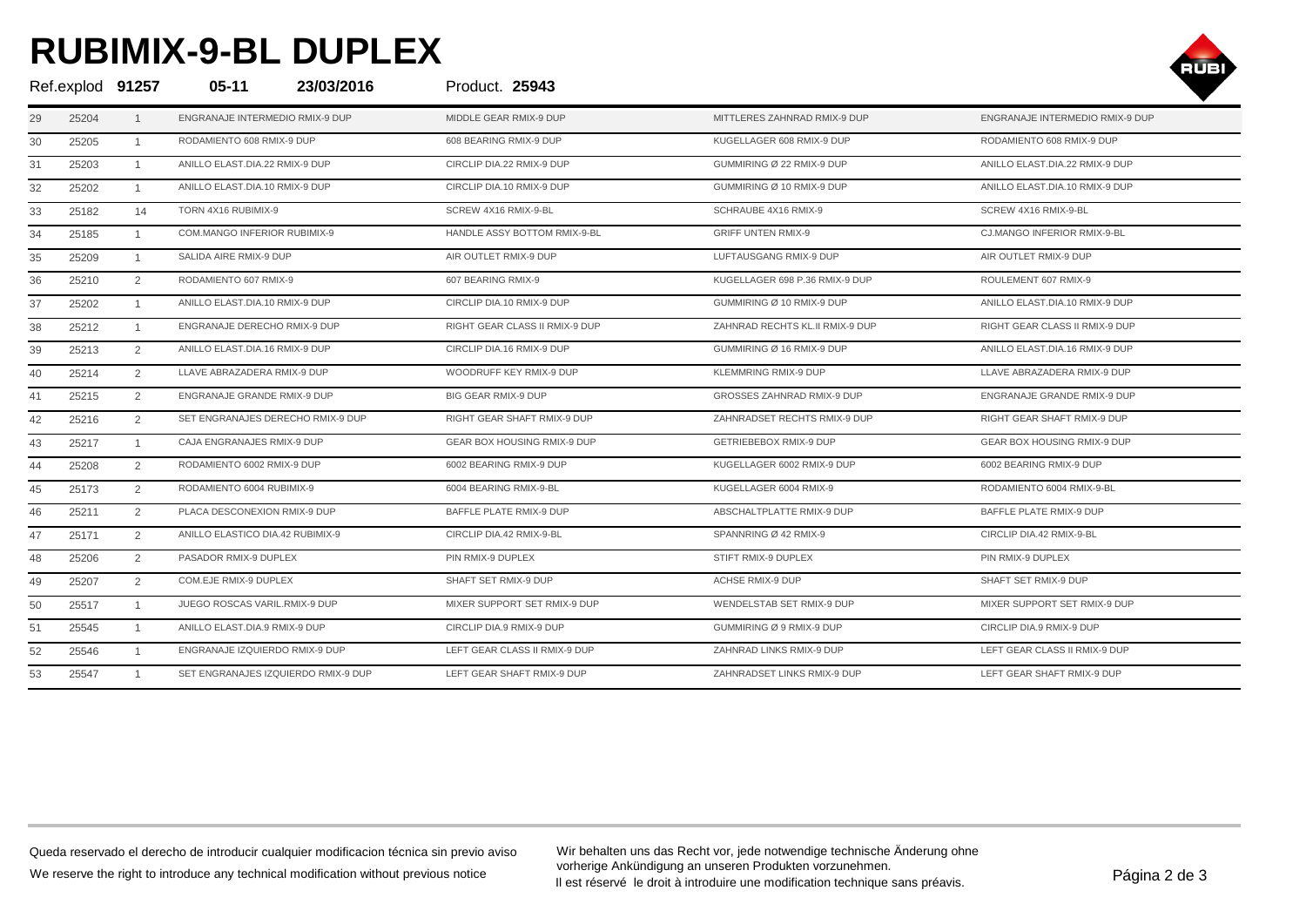## **RUBIMIX-9-BL DUPLEX**



| Ref.explod 91257 |       |                | $05 - 11$<br>23/03/2016             | Product. 25943                 |                                 |                                 |
|------------------|-------|----------------|-------------------------------------|--------------------------------|---------------------------------|---------------------------------|
| 29               | 25204 | $\overline{1}$ | ENGRANAJE INTERMEDIO RMIX-9 DUP     | MIDDLE GEAR RMIX-9 DUP         | MITTLERES ZAHNRAD RMIX-9 DUP    | ENGRANAJE INTERMEDIO RMIX-9 DUP |
| 30               | 25205 | $\overline{1}$ | RODAMIENTO 608 RMIX-9 DUP           | 608 BEARING RMIX-9 DUP         | KUGELLAGER 608 RMIX-9 DUP       | RODAMIENTO 608 RMIX-9 DUP       |
| 31               | 25203 | $\overline{1}$ | ANILLO ELAST.DIA.22 RMIX-9 DUP      | CIRCLIP DIA.22 RMIX-9 DUP      | GUMMIRING Ø 22 RMIX-9 DUP       | ANILLO ELAST.DIA.22 RMIX-9 DUP  |
| 32               | 25202 | $\overline{1}$ | ANILLO ELAST.DIA.10 RMIX-9 DUP      | CIRCLIP DIA.10 RMIX-9 DUP      | GUMMIRING Ø 10 RMIX-9 DUP       | ANILLO ELAST.DIA.10 RMIX-9 DUP  |
| 33               | 25182 | 14             | TORN 4X16 RUBIMIX-9                 | SCREW 4X16 RMIX-9-BL           | SCHRAUBE 4X16 RMIX-9            | SCREW 4X16 RMIX-9-BL            |
| 34               | 25185 | $\overline{1}$ | COM.MANGO INFERIOR RUBIMIX-9        | HANDLE ASSY BOTTOM RMIX-9-BL   | <b>GRIFF UNTEN RMIX-9</b>       | CJ.MANGO INFERIOR RMIX-9-BL     |
| 35               | 25209 | $\overline{1}$ | SALIDA AIRE RMIX-9 DUP              | AIR OUTLET RMIX-9 DUP          | LUFTAUSGANG RMIX-9 DUP          | AIR OUTLET RMIX-9 DUP           |
| 36               | 25210 | 2              | RODAMIENTO 607 RMIX-9               | 607 BEARING RMIX-9             | KUGELLAGER 698 P.36 RMIX-9 DUP  | ROULEMENT 607 RMIX-9            |
| 37               | 25202 | $\overline{1}$ | ANILLO ELAST.DIA.10 RMIX-9 DUP      | CIRCLIP DIA.10 RMIX-9 DUP      | GUMMIRING Ø 10 RMIX-9 DUP       | ANILLO ELAST.DIA.10 RMIX-9 DUP  |
| 38               | 25212 | $\overline{1}$ | ENGRANAJE DERECHO RMIX-9 DUP        | RIGHT GEAR CLASS II RMIX-9 DUP | ZAHNRAD RECHTS KL.II RMIX-9 DUP | RIGHT GEAR CLASS II RMIX-9 DUP  |
| 39               | 25213 | 2              | ANILLO ELAST.DIA.16 RMIX-9 DUP      | CIRCLIP DIA.16 RMIX-9 DUP      | GUMMIRING Ø 16 RMIX-9 DUP       | ANILLO ELAST.DIA.16 RMIX-9 DUP  |
| 40               | 25214 | 2              | LLAVE ABRAZADERA RMIX-9 DUP         | WOODRUFF KEY RMIX-9 DUP        | KLEMMRING RMIX-9 DUP            | LLAVE ABRAZADERA RMIX-9 DUP     |
| 41               | 25215 | 2              | ENGRANAJE GRANDE RMIX-9 DUP         | BIG GEAR RMIX-9 DUP            | GROSSES ZAHNRAD RMIX-9 DUP      | ENGRANAJE GRANDE RMIX-9 DUP     |
| 42               | 25216 | 2              | SET ENGRANAJES DERECHO RMIX-9 DUP   | RIGHT GEAR SHAFT RMIX-9 DUP    | ZAHNRADSET RECHTS RMIX-9 DUP    | RIGHT GEAR SHAFT RMIX-9 DUP     |
| 43               | 25217 | $\overline{1}$ | CAJA ENGRANAJES RMIX-9 DUP          | GEAR BOX HOUSING RMIX-9 DUP    | GETRIEBEBOX RMIX-9 DUP          | GEAR BOX HOUSING RMIX-9 DUP     |
| 44               | 25208 | 2              | RODAMIENTO 6002 RMIX-9 DUP          | 6002 BEARING RMIX-9 DUP        | KUGELLAGER 6002 RMIX-9 DUP      | 6002 BEARING RMIX-9 DUP         |
| 45               | 25173 | 2              | RODAMIENTO 6004 RUBIMIX-9           | 6004 BEARING RMIX-9-BL         | KUGELLAGER 6004 RMIX-9          | RODAMIENTO 6004 RMIX-9-BL       |
| 46               | 25211 | 2              | PLACA DESCONEXION RMIX-9 DUP        | BAFFLE PLATE RMIX-9 DUP        | ABSCHALTPLATTE RMIX-9 DUP       | BAFFLE PLATE RMIX-9 DUP         |
| 47               | 25171 | 2              | ANILLO ELASTICO DIA.42 RUBIMIX-9    | CIRCLIP DIA.42 RMIX-9-BL       | SPANNRING Ø 42 RMIX-9           | CIRCLIP DIA.42 RMIX-9-BL        |
| 48               | 25206 | 2              | PASADOR RMIX-9 DUPLEX               | PIN RMIX-9 DUPLEX              | STIFT RMIX-9 DUPLEX             | PIN RMIX-9 DUPLEX               |
| 49               | 25207 | 2              | COM.EJE RMIX-9 DUPLEX               | SHAFT SET RMIX-9 DUP           | ACHSE RMIX-9 DUP                | SHAFT SET RMIX-9 DUP            |
| 50               | 25517 | $\overline{1}$ | JUEGO ROSCAS VARIL.RMIX-9 DUP       | MIXER SUPPORT SET RMIX-9 DUP   | WENDELSTAB SET RMIX-9 DUP       | MIXER SUPPORT SET RMIX-9 DUP    |
| 51               | 25545 | $\overline{1}$ | ANILLO ELAST.DIA.9 RMIX-9 DUP       | CIRCLIP DIA.9 RMIX-9 DUP       | GUMMIRING Ø 9 RMIX-9 DUP        | CIRCLIP DIA.9 RMIX-9 DUP        |
| 52               | 25546 | $\overline{1}$ | ENGRANAJE IZQUIERDO RMIX-9 DUP      | LEFT GEAR CLASS II RMIX-9 DUP  | ZAHNRAD LINKS RMIX-9 DUP        | LEFT GEAR CLASS II RMIX-9 DUP   |
| 53               | 25547 | $\overline{1}$ | SET ENGRANAJES IZQUIERDO RMIX-9 DUP | LEFT GEAR SHAFT RMIX-9 DUP     | ZAHNRADSET LINKS RMIX-9 DUP     | LEFT GEAR SHAFT RMIX-9 DUP      |

Wir behalten uns das Recht vor, jede notwendige technische Änderung ohne vorherige Ankündigung an unseren Produkten vorzunehmen. vornerige Ankundigung an unseren Produkten vorzunenmen.<br>Il est réservé le droit à introduire une modification technique sans préavis.